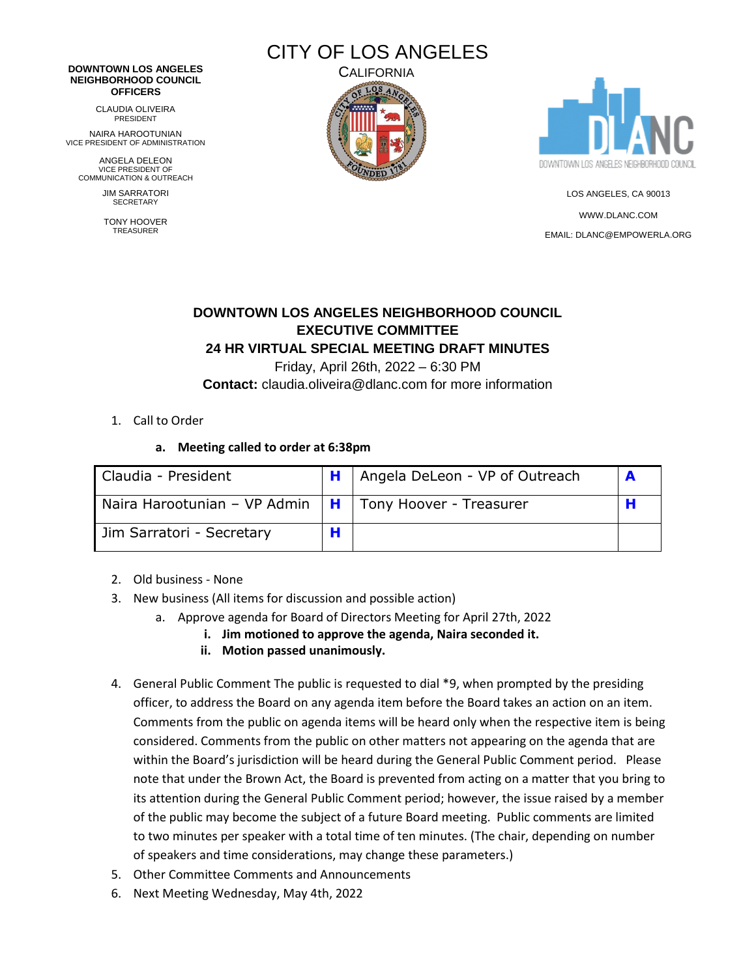# CITY OF LOS ANGELES

#### **DOWNTOWN LOS ANGELES NEIGHBORHOOD COUNCIL OFFICERS**

CLAUDIA OLIVEIRA PRESIDENT

NAIRA HAROOTUNIAN VICE PRESIDENT OF ADMINISTRATION

ANGELA DELEON VICE PRESIDENT OF COMMUNICATION & OUTREACH

> JIM SARRATORI **SECRETARY**

TONY HOOVER TREASURER





LOS ANGELES, CA 90013 [WWW.DLANC.COM](http://www.dlanc.com/) EMAIL[: DLANC@EMPOWERLA.ORG](mailto:DLANC@EMPOWERLA.ORG)

## **DOWNTOWN LOS ANGELES NEIGHBORHOOD COUNCIL EXECUTIVE COMMITTEE 24 HR VIRTUAL SPECIAL MEETING DRAFT MINUTES**

Friday, April 26th, 2022 – 6:30 PM **Contact:** claudia.oliveira@dlanc.com for more information

## 1. Call to Order

## **a. Meeting called to order at 6:38pm**

| Claudia - President                                          | Angela DeLeon - VP of Outreach |  |
|--------------------------------------------------------------|--------------------------------|--|
| Naira Harootunian – VP Admin $\ H\ $ Tony Hoover - Treasurer |                                |  |
| Jim Sarratori - Secretary                                    |                                |  |

- 2. Old business None
- 3. New business (All items for discussion and possible action)
	- a. Approve agenda for Board of Directors Meeting for April 27th, 2022
		- **i. Jim motioned to approve the agenda, Naira seconded it.**
		- **ii. Motion passed unanimously.**
- 4. General Public Comment The public is requested to dial \*9, when prompted by the presiding officer, to address the Board on any agenda item before the Board takes an action on an item. Comments from the public on agenda items will be heard only when the respective item is being considered. Comments from the public on other matters not appearing on the agenda that are within the Board's jurisdiction will be heard during the General Public Comment period. Please note that under the Brown Act, the Board is prevented from acting on a matter that you bring to its attention during the General Public Comment period; however, the issue raised by a member of the public may become the subject of a future Board meeting. Public comments are limited to two minutes per speaker with a total time of ten minutes. (The chair, depending on number of speakers and time considerations, may change these parameters.)
- 5. Other Committee Comments and Announcements
- 6. Next Meeting Wednesday, May 4th, 2022